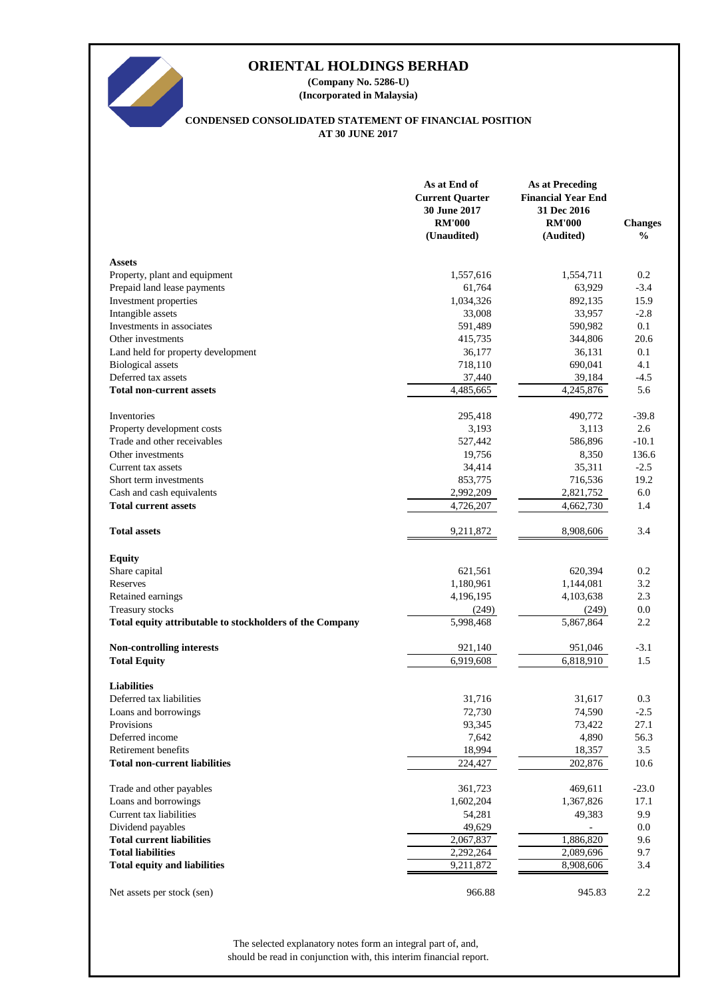

**(Company No. 5286-U) (Incorporated in Malaysia)**

# **CONDENSED CONSOLIDATED STATEMENT OF FINANCIAL POSITION AT 30 JUNE 2017**

|                                                          | As at End of<br><b>Current Quarter</b><br>30 June 2017<br><b>RM'000</b><br>(Unaudited) | <b>As at Preceding</b><br><b>Financial Year End</b><br>31 Dec 2016<br><b>RM'000</b><br>(Audited) | <b>Changes</b><br>$\frac{0}{0}$ |
|----------------------------------------------------------|----------------------------------------------------------------------------------------|--------------------------------------------------------------------------------------------------|---------------------------------|
| <b>Assets</b>                                            |                                                                                        |                                                                                                  |                                 |
| Property, plant and equipment                            | 1,557,616                                                                              | 1,554,711                                                                                        | 0.2                             |
| Prepaid land lease payments                              | 61,764                                                                                 | 63,929                                                                                           | $-3.4$                          |
| Investment properties                                    | 1,034,326                                                                              | 892,135                                                                                          | 15.9                            |
| Intangible assets                                        | 33,008                                                                                 | 33,957                                                                                           | $-2.8$                          |
| Investments in associates                                | 591,489                                                                                | 590,982                                                                                          | 0.1                             |
| Other investments                                        | 415,735                                                                                | 344,806                                                                                          | 20.6                            |
| Land held for property development                       | 36,177                                                                                 | 36,131                                                                                           | 0.1                             |
| <b>Biological</b> assets                                 | 718,110                                                                                | 690,041                                                                                          | 4.1                             |
| Deferred tax assets                                      | 37,440                                                                                 | 39,184                                                                                           | $-4.5$                          |
| <b>Total non-current assets</b>                          | 4,485,665                                                                              | 4,245,876                                                                                        | 5.6                             |
| Inventories                                              | 295,418                                                                                | 490,772                                                                                          | $-39.8$                         |
| Property development costs                               | 3,193                                                                                  | 3,113                                                                                            | 2.6                             |
| Trade and other receivables                              | 527,442                                                                                | 586,896                                                                                          | $-10.1$                         |
| Other investments                                        | 19,756                                                                                 | 8,350                                                                                            | 136.6                           |
| Current tax assets                                       | 34,414                                                                                 | 35,311                                                                                           | $-2.5$                          |
| Short term investments                                   | 853,775                                                                                | 716,536                                                                                          | 19.2                            |
| Cash and cash equivalents                                | 2,992,209                                                                              | 2,821,752                                                                                        | 6.0                             |
| <b>Total current assets</b>                              | 4,726,207                                                                              | 4,662,730                                                                                        | 1.4                             |
| <b>Total assets</b>                                      | 9,211,872                                                                              | 8,908,606                                                                                        | 3.4                             |
| <b>Equity</b>                                            |                                                                                        |                                                                                                  |                                 |
| Share capital                                            | 621,561                                                                                | 620,394                                                                                          | 0.2                             |
| Reserves                                                 | 1,180,961                                                                              | 1,144,081                                                                                        | 3.2                             |
| Retained earnings                                        | 4,196,195                                                                              | 4,103,638                                                                                        | 2.3                             |
| Treasury stocks                                          | (249)                                                                                  | (249)                                                                                            | 0.0                             |
| Total equity attributable to stockholders of the Company | 5,998,468                                                                              | 5,867,864                                                                                        | 2.2                             |
| <b>Non-controlling interests</b>                         | 921,140                                                                                | 951,046                                                                                          | $-3.1$                          |
| <b>Total Equity</b>                                      | 6,919,608                                                                              | 6,818,910                                                                                        | 1.5                             |
| <b>Liabilities</b>                                       |                                                                                        |                                                                                                  |                                 |
| Deferred tax liabilities                                 | 31,716                                                                                 | 31,617                                                                                           | 0.3                             |
| Loans and borrowings                                     | 72,730                                                                                 | 74,590                                                                                           | $-2.5$                          |
| Provisions                                               | 93,345                                                                                 | 73,422                                                                                           | 27.1                            |
| Deferred income                                          | 7,642                                                                                  | 4,890                                                                                            | 56.3                            |
| Retirement benefits                                      | 18,994                                                                                 | 18,357                                                                                           | 3.5                             |
| <b>Total non-current liabilities</b>                     | 224,427                                                                                | 202,876                                                                                          | 10.6                            |
| Trade and other payables                                 | 361,723                                                                                | 469,611                                                                                          | $-23.0$                         |
| Loans and borrowings                                     | 1,602,204                                                                              | 1,367,826                                                                                        | 17.1                            |
| Current tax liabilities                                  | 54,281                                                                                 | 49,383                                                                                           | 9.9                             |
| Dividend payables                                        | 49,629                                                                                 |                                                                                                  | 0.0                             |
| <b>Total current liabilities</b>                         | 2,067,837                                                                              | 1,886,820                                                                                        | 9.6                             |
| <b>Total liabilities</b>                                 | 2,292,264                                                                              | 2,089,696                                                                                        | 9.7                             |
| <b>Total equity and liabilities</b>                      | 9,211,872                                                                              | 8,908,606                                                                                        | 3.4                             |
| Net assets per stock (sen)                               | 966.88                                                                                 | 945.83                                                                                           | 2.2                             |

should be read in conjunction with, this interim financial report. The selected explanatory notes form an integral part of, and,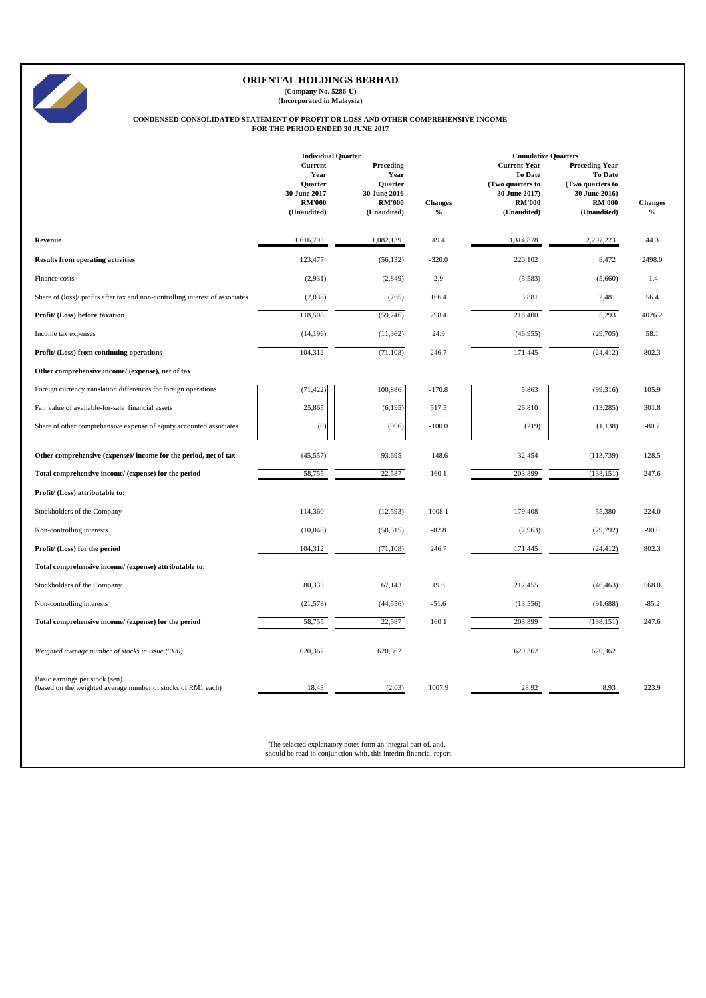|                                                                                                | <b>Individual Quarter</b><br><b>Current</b>                                                                                         | <b>Preceding</b>                                                | <b>Cumulative Quarters</b>      |                                                                                                            |                                                                                                              |                                 |
|------------------------------------------------------------------------------------------------|-------------------------------------------------------------------------------------------------------------------------------------|-----------------------------------------------------------------|---------------------------------|------------------------------------------------------------------------------------------------------------|--------------------------------------------------------------------------------------------------------------|---------------------------------|
|                                                                                                | Year<br>Quarter<br>30 June 2017<br><b>RM'000</b><br>(Unaudited)                                                                     | Year<br>Quarter<br>30 June 2016<br><b>RM'000</b><br>(Unaudited) | <b>Changes</b><br>$\frac{0}{0}$ | <b>Current Year</b><br><b>To Date</b><br>(Two quarters to<br>30 June 2017)<br><b>RM'000</b><br>(Unaudited) | <b>Preceding Year</b><br><b>To Date</b><br>(Two quarters to<br>30 June 2016)<br><b>RM'000</b><br>(Unaudited) | <b>Changes</b><br>$\frac{6}{6}$ |
| <b>Revenue</b>                                                                                 | 1,616,793                                                                                                                           | 1,082,139                                                       | 49.4                            | 3,314,878                                                                                                  | 2,297,223                                                                                                    | 44.3                            |
| <b>Results from operating activities</b>                                                       | 123,477                                                                                                                             | (56, 132)                                                       | $-320.0$                        | 220,102                                                                                                    | 8,472                                                                                                        | 2498.0                          |
| Finance costs                                                                                  | (2,931)                                                                                                                             | (2,849)                                                         | 2.9                             | (5,583)                                                                                                    | (5,660)                                                                                                      | $-1.4$                          |
| Share of (loss)/ profits after tax and non-controlling interest of associates                  | (2,038)                                                                                                                             | (765)                                                           | 166.4                           | 3,881                                                                                                      | 2,481                                                                                                        | 56.4                            |
| Profit/ (Loss) before taxation                                                                 | 118,508                                                                                                                             | (59,746)                                                        | 298.4                           | 218,400                                                                                                    | 5,293                                                                                                        | 4026.2                          |
| Income tax expenses                                                                            | (14, 196)                                                                                                                           | (11, 362)                                                       | 24.9                            | (46,955)                                                                                                   | (29,705)                                                                                                     | 58.1                            |
| Profit/ (Loss) from continuing operations                                                      | 104,312                                                                                                                             | (71, 108)                                                       | 246.7                           | 171,445                                                                                                    | (24, 412)                                                                                                    | 802.3                           |
| Other comprehensive income/ (expense), net of tax                                              |                                                                                                                                     |                                                                 |                                 |                                                                                                            |                                                                                                              |                                 |
| Foreign currency translation differences for foreign operations                                | (71, 422)                                                                                                                           | 100,886                                                         | $-170.8$                        | 5,863                                                                                                      | (99,316)                                                                                                     | 105.9                           |
| Fair value of available-for-sale financial assets                                              | 25,865                                                                                                                              | (6,195)                                                         | 517.5                           | 26,810                                                                                                     | (13,285)                                                                                                     | 301.8                           |
| Share of other comprehensive expense of equity accounted associates                            | (0)                                                                                                                                 | (996)                                                           | $-100.0$                        | (219)                                                                                                      | (1,138)                                                                                                      | $-80.7$                         |
| Other comprehensive (expense)/ income for the period, net of tax                               | (45, 557)                                                                                                                           | 93,695                                                          | $-148.6$                        | 32,454                                                                                                     | (113,739)                                                                                                    | 128.5                           |
| Total comprehensive income/ (expense) for the period                                           | 58,755                                                                                                                              | 22,587                                                          | 160.1                           | 203,899                                                                                                    | (138, 151)                                                                                                   | 247.6                           |
| Profit/ (Loss) attributable to:                                                                |                                                                                                                                     |                                                                 |                                 |                                                                                                            |                                                                                                              |                                 |
| Stockholders of the Company                                                                    | 114,360                                                                                                                             | (12,593)                                                        | 1008.1                          | 179,408                                                                                                    | 55,380                                                                                                       | 224.0                           |
| Non-controlling interests                                                                      | (10,048)                                                                                                                            | (58, 515)                                                       | $-82.8$                         | (7,963)                                                                                                    | (79, 792)                                                                                                    | $-90.0$                         |
| Profit/ (Loss) for the period                                                                  | 104,312                                                                                                                             | (71, 108)                                                       | 246.7                           | 171,445                                                                                                    | (24, 412)                                                                                                    | 802.3                           |
| Total comprehensive income/ (expense) attributable to:                                         |                                                                                                                                     |                                                                 |                                 |                                                                                                            |                                                                                                              |                                 |
| Stockholders of the Company                                                                    | 80,333                                                                                                                              | 67,143                                                          | 19.6                            | 217,455                                                                                                    | (46, 463)                                                                                                    | 568.0                           |
| Non-controlling interests                                                                      | (21,578)                                                                                                                            | (44, 556)                                                       | $-51.6$                         | (13, 556)                                                                                                  | (91, 688)                                                                                                    | $-85.2$                         |
| Total comprehensive income/ (expense) for the period                                           | 58,755                                                                                                                              | 22,587                                                          | 160.1                           | 203,899                                                                                                    | (138, 151)                                                                                                   | 247.6                           |
| Weighted average number of stocks in issue ('000)                                              | 620,362                                                                                                                             | 620,362                                                         |                                 | 620,362                                                                                                    | 620,362                                                                                                      |                                 |
| Basic earnings per stock (sen)<br>(based on the weighted average number of stocks of RM1 each) | 18.43                                                                                                                               | (2.03)                                                          | 1007.9                          | 28.92                                                                                                      | 8.93                                                                                                         | 223.9                           |
|                                                                                                | The selected explanatory notes form an integral part of, and,<br>should be read in conjunction with, this interim financial report. |                                                                 |                                 |                                                                                                            |                                                                                                              |                                 |



# **ORIENTAL HOLDINGS BERHAD**

**(Company No. 5286-U) (Incorporated in Malaysia)**

#### **CONDENSED CONSOLIDATED STATEMENT OF PROFIT OR LOSS AND OTHER COMPREHENSIVE INCOME FOR THE PERIOD ENDED 30 JUNE 2017**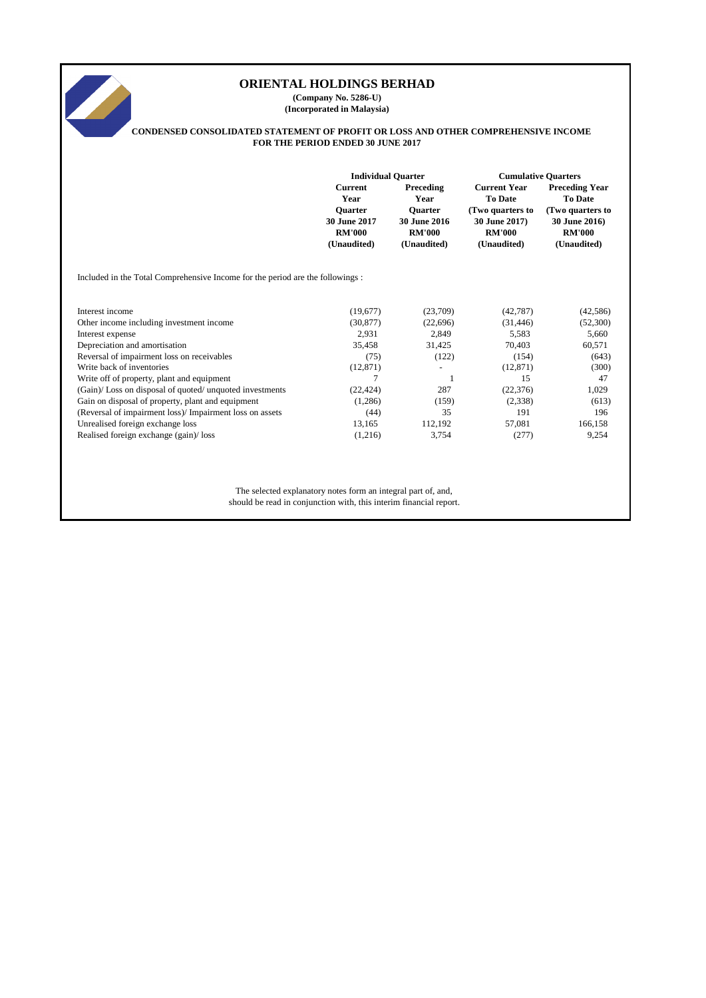# **Current Preceding Current Year Preceding Year Year Year To Date To Date Quarter Quarter (Two quarters to (Two quarters to 30 June 2017 30 June 2016 30 June 2017) 30 June 2016) RM'000 RM'000 RM'000 RM'000 (Unaudited) (Unaudited) (Unaudited) (Unaudited)** Included in the Total Comprehensive Income for the period are the followings : Interest income (19,677) (23,709) (42,787) (42,586) Other income including investment income (30,877) (22,696) (31,446) (52,300) Interest expense 2,931 2,849 5,583 5,660 Depreciation and amortisation 35,458 31,425 70,403 60,571 Reversal of impairment loss on receivables (75) (122) (154) (643) Write back of inventories (12,871) (300) Write off of property, plant and equipment and  $\frac{7}{7}$  1 15 15 47 (Gain)/ Loss on disposal of quoted/ unquoted investments (22,424) 287 (22,376) 1,029 Gain on disposal of property, plant and equipment (1,286) (1,286) (159) (2,338) (613) (Reversal of impairment loss)/ Impairment loss on assets (44) 35 191 196 Unrealised foreign exchange loss 13,165 112,192 57,081 166,158 Realised foreign exchange (gain)/ loss (1,216) 3,754 (277) 9,254 (277) 9,254 The selected explanatory notes form an integral part of, and, should be read in conjunction with, this interim financial report. **ORIENTAL HOLDINGS BERHAD (Company No. 5286-U) (Incorporated in Malaysia) CONDENSED CONSOLIDATED STATEMENT OF PROFIT OR LOSS AND OTHER COMPREHENSIVE INCOME FOR THE PERIOD ENDED 30 JUNE 2017 Individual Quarter Cumulative Quarters**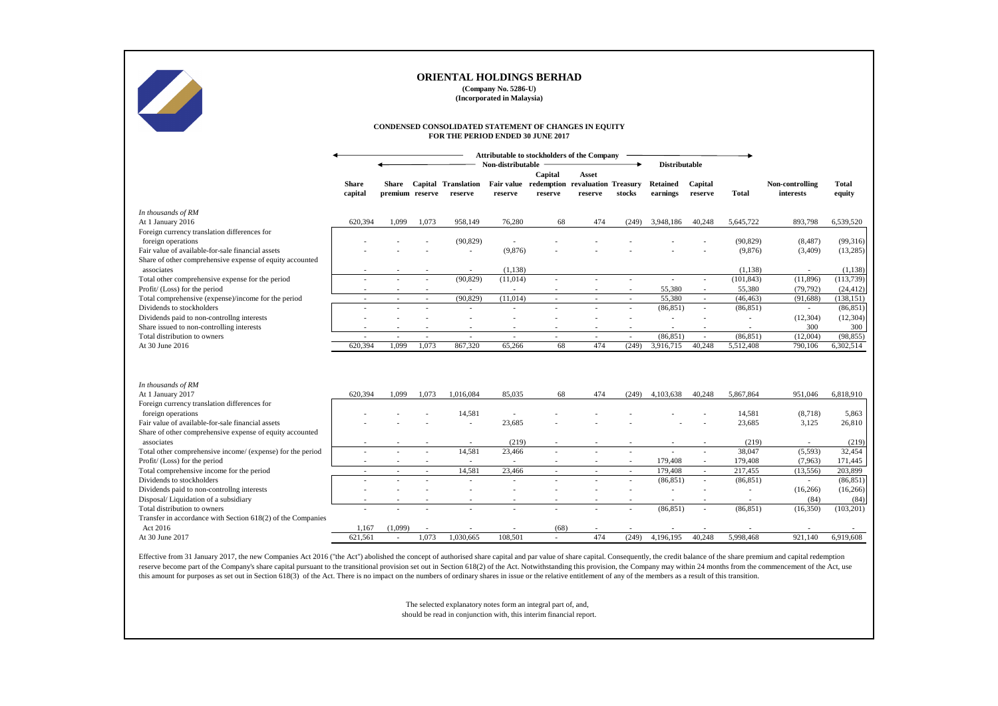Effective from 31 January 2017, the new Companies Act 2016 ("the Act") abolished the concept of authorised share capital and par value of share capital. Consequently, the credit balance of the share premium and capital red reserve become part of the Company's share capital pursuant to the transitional provision set out in Section 618(2) of the Act. Notwithstanding this provision, the Company may within 24 months from the commencement of the this amount for purposes as set out in Section 618(3) of the Act. There is no impact on the numbers of ordinary shares in issue or the relative entitlement of any of the members as a result of this transition.

|                                                                           |                         |                          |                                   | <b>ORIENTAL HOLDINGS BERHAD</b>                                                            | (Company No. 5286-U)<br>(Incorporated in Malaysia) |                                                       |               |                          |                             |                    |                      |                              |                        |
|---------------------------------------------------------------------------|-------------------------|--------------------------|-----------------------------------|--------------------------------------------------------------------------------------------|----------------------------------------------------|-------------------------------------------------------|---------------|--------------------------|-----------------------------|--------------------|----------------------|------------------------------|------------------------|
|                                                                           |                         |                          |                                   | CONDENSED CONSOLIDATED STATEMENT OF CHANGES IN EQUITY<br>FOR THE PERIOD ENDED 30 JUNE 2017 |                                                    |                                                       |               |                          |                             |                    |                      |                              |                        |
|                                                                           |                         |                          |                                   |                                                                                            | <b>Attributable to stockholders of the Company</b> |                                                       |               |                          |                             |                    |                      |                              |                        |
|                                                                           |                         |                          |                                   |                                                                                            | Non-distributable                                  | Capital                                               | Asset         |                          | <b>Distributable</b>        |                    |                      |                              |                        |
|                                                                           | <b>Share</b><br>capital | premium reserve          |                                   | Share Capital Translation<br>reserve                                                       | reserve                                            | Fair value redemption revaluation Treasury<br>reserve | reserve       | stocks                   | <b>Retained</b><br>earnings | Capital<br>reserve | <b>Total</b>         | Non-controlling<br>interests | <b>Total</b><br>equity |
| In thousands of RM                                                        |                         |                          |                                   |                                                                                            |                                                    |                                                       |               |                          |                             |                    |                      |                              |                        |
| At 1 January 2016                                                         | 620,394                 | 1,099                    | 1,073                             | 958,149                                                                                    | 76,280                                             | 68                                                    | 474           | (249)                    | 3,948,186                   | 40,248             | 5,645,722            | 893,798                      | 6,539,520              |
| Foreign currency translation differences for                              |                         |                          |                                   |                                                                                            |                                                    |                                                       |               |                          |                             |                    |                      |                              |                        |
| foreign operations<br>Fair value of available-for-sale financial assets   |                         |                          |                                   | (90, 829)                                                                                  | (9,876)                                            |                                                       |               |                          |                             |                    | (90, 829)<br>(9,876) | (8, 487)<br>(3,409)          | (99,316)<br>(13,285)   |
| Share of other comprehensive expense of equity accounted                  |                         |                          |                                   |                                                                                            |                                                    |                                                       |               |                          |                             |                    |                      |                              |                        |
| associates                                                                |                         |                          |                                   |                                                                                            | (1,138)                                            |                                                       |               |                          |                             |                    | (1,138)              |                              | (1,138)                |
| Total other comprehensive expense for the period                          |                         |                          |                                   | (90, 829)                                                                                  | (11,014)                                           |                                                       |               | $\overline{\phantom{a}}$ | $\overline{\phantom{a}}$    | $\sim$             | (101, 843)           | (11,896)                     | (113, 739)             |
| Profit/ (Loss) for the period                                             |                         |                          | $\overline{\phantom{a}}$          | $\sim$                                                                                     |                                                    |                                                       |               | $\overline{\phantom{a}}$ | 55,380                      | $\sim$             | 55,380               | (79, 792)                    | (24, 412)              |
| Total comprehensive (expense)/income for the period                       | $\sim$                  | $\sim$                   | $\overline{\phantom{a}}$          | (90, 829)                                                                                  | (11,014)                                           | $\sim$                                                | $\sim$        | $\sim$                   | 55,380                      | $\sim$             | (46, 463)            | (91, 688)                    | (138, 151)             |
| Dividends to stockholders                                                 |                         |                          |                                   |                                                                                            |                                                    |                                                       |               | $\sim$                   | (86, 851)                   | $\blacksquare$     | (86, 851)            | $\sim$                       | (86, 851)              |
| Dividends paid to non-controllng interests                                |                         |                          |                                   |                                                                                            |                                                    |                                                       |               |                          |                             |                    |                      | (12, 304)                    | (12, 304)              |
| Share issued to non-controlling interests<br>Total distribution to owners |                         |                          |                                   |                                                                                            |                                                    |                                                       |               | $\sim$                   | (86, 851)                   | $\sim$             | (86, 851)            | 300<br>(12,004)              | 300<br>(98, 855)       |
| At 30 June 2016                                                           | 620,394                 | 1,099                    | $\overline{\phantom{a}}$<br>1,073 | $\sim$<br>867,320                                                                          | $\sim$<br>65,266                                   | 68                                                    | $\sim$<br>474 | (249)                    | 3,916,715                   | 40,248             | 5,512,408            | 790,106                      | 6,302,514              |
|                                                                           |                         |                          |                                   |                                                                                            |                                                    |                                                       |               |                          |                             |                    |                      |                              |                        |
| In thousands of RM                                                        |                         |                          |                                   |                                                                                            |                                                    |                                                       |               |                          |                             |                    |                      |                              |                        |
| At 1 January 2017                                                         | 620,394                 | 1,099                    | 1,073                             | 1,016,084                                                                                  | 85,035                                             | 68                                                    | 474           | (249)                    | 4,103,638                   | 40,248             | 5,867,864            | 951,046                      | 6,818,910              |
| Foreign currency translation differences for                              |                         |                          |                                   |                                                                                            |                                                    |                                                       |               |                          |                             |                    |                      |                              |                        |
| foreign operations<br>Fair value of available-for-sale financial assets   |                         |                          |                                   | 14,581                                                                                     | 23,685                                             |                                                       |               |                          |                             |                    | 14,581<br>23,685     | (8,718)<br>3,125             | 5,863<br>26,810        |
| Share of other comprehensive expense of equity accounted                  |                         |                          |                                   |                                                                                            |                                                    |                                                       |               |                          |                             |                    |                      |                              |                        |
| associates                                                                |                         |                          |                                   |                                                                                            | (219)                                              |                                                       |               |                          |                             |                    | (219)                |                              | (219)                  |
| Total other comprehensive income/ (expense) for the period                |                         |                          |                                   | 14,581                                                                                     | 23,466                                             |                                                       |               |                          |                             |                    | 38,047               | (5,593)                      | 32,454                 |
| Profit/ (Loss) for the period                                             |                         |                          |                                   | $\sim$                                                                                     |                                                    |                                                       |               | $\overline{\phantom{a}}$ | 179,408                     | -                  | 179,408              | (7,963)                      | 171,445                |
| Total comprehensive income for the period                                 | $\sim$                  | $\overline{\phantom{a}}$ | $\blacksquare$                    | 14,581                                                                                     | 23,466                                             | $\sim$                                                | $\sim$        | $\sim$                   | 179,408                     | $\sim$             | 217,455              | (13, 556)                    | 203,899                |
| Dividends to stockholders                                                 |                         |                          |                                   |                                                                                            |                                                    |                                                       |               |                          | (86, 851)                   | $\sim$             | (86, 851)            |                              | (86, 851)              |
| Dividends paid to non-controllng interests                                |                         |                          |                                   |                                                                                            |                                                    |                                                       |               |                          |                             |                    |                      | (16,266)                     | (16, 266)              |
| Disposal/Liquidation of a subsidiary                                      |                         |                          |                                   |                                                                                            |                                                    |                                                       |               |                          |                             |                    |                      | (84)                         | (84)                   |
| Total distribution to owners                                              |                         |                          | $\overline{\phantom{a}}$          | $\overline{\phantom{a}}$                                                                   |                                                    |                                                       | $\sim$        | $\overline{\phantom{a}}$ | (86, 851)                   | $\sim$             | (86, 851)            | (16,350)                     | (103,201)              |
| Transfer in accordance with Section 618(2) of the Companies<br>Act 2016   | 1,167                   | (1,099)                  |                                   |                                                                                            |                                                    | (68)                                                  |               |                          |                             |                    |                      |                              |                        |
| At 30 June 2017                                                           | 621,561                 |                          | 1,073                             | 1,030,665                                                                                  | 108,501                                            |                                                       | 474           | (249)                    | 4,196,195                   | 40,248             | 5,998,468            | 921,140                      | 6,919,608              |
|                                                                           |                         |                          |                                   |                                                                                            |                                                    |                                                       |               |                          |                             |                    |                      |                              |                        |

The selected explanatory notes form an integral part of, and, should be read in conjunction with, this interim financial report.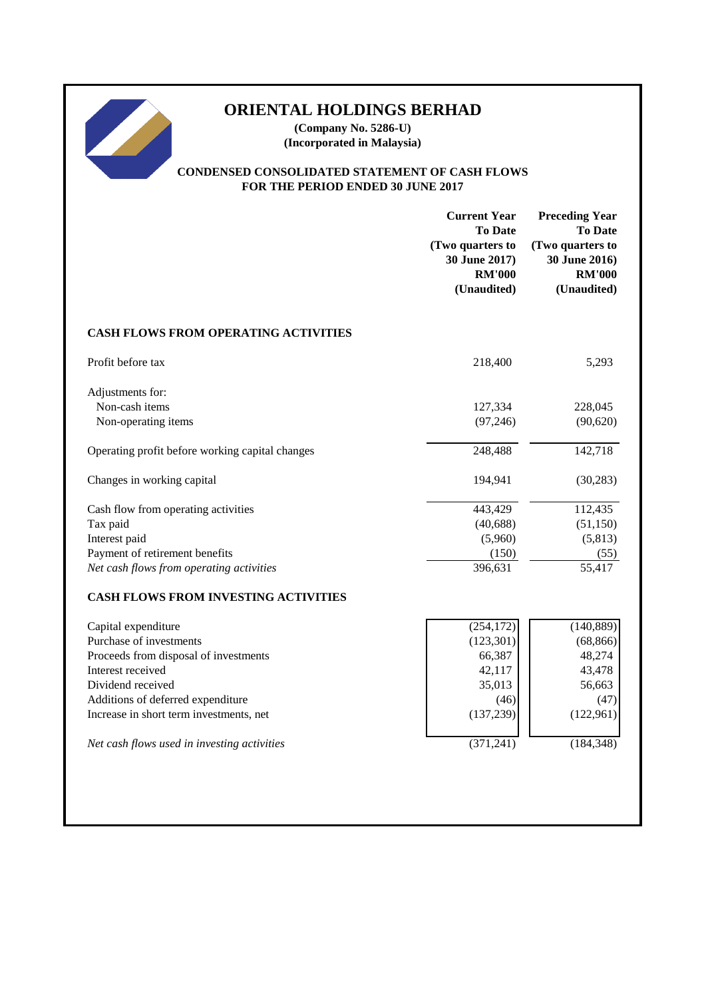# **ORIENTAL HOLDINGS BERHAD**

**(Company No. 5286-U) (Incorporated in Malaysia)**

# **CONDENSED CONSOLIDATED STATEMENT OF CASH FLOWS FOR THE PERIOD ENDED 30 JUNE 2017**

|                                                                                                                                                                                                                                                                  | <b>Current Year</b><br><b>To Date</b><br>(Two quarters to<br>30 June 2017)<br><b>RM'000</b><br>(Unaudited) | <b>Preceding Year</b><br><b>To Date</b><br>(Two quarters to<br>30 June 2016)<br><b>RM'000</b><br>(Unaudited) |
|------------------------------------------------------------------------------------------------------------------------------------------------------------------------------------------------------------------------------------------------------------------|------------------------------------------------------------------------------------------------------------|--------------------------------------------------------------------------------------------------------------|
| <b>CASH FLOWS FROM OPERATING ACTIVITIES</b>                                                                                                                                                                                                                      |                                                                                                            |                                                                                                              |
| Profit before tax                                                                                                                                                                                                                                                | 218,400                                                                                                    | 5,293                                                                                                        |
| Adjustments for:<br>Non-cash items<br>Non-operating items                                                                                                                                                                                                        | 127,334<br>(97, 246)                                                                                       | 228,045<br>(90,620)                                                                                          |
| Operating profit before working capital changes                                                                                                                                                                                                                  | 248,488                                                                                                    | 142,718                                                                                                      |
| Changes in working capital                                                                                                                                                                                                                                       | 194,941                                                                                                    | (30, 283)                                                                                                    |
| Cash flow from operating activities<br>Tax paid<br>Interest paid<br>Payment of retirement benefits<br>Net cash flows from operating activities<br><b>CASH FLOWS FROM INVESTING ACTIVITIES</b>                                                                    | 443,429<br>(40, 688)<br>(5,960)<br>(150)<br>396,631                                                        | 112,435<br>(51, 150)<br>(5, 813)<br>(55)<br>55,417                                                           |
| Capital expenditure<br>Purchase of investments<br>Proceeds from disposal of investments<br>Interest received<br>Dividend received<br>Additions of deferred expenditure<br>Increase in short term investments, net<br>Net cash flows used in investing activities | (254, 172)<br>(123, 301)<br>66,387<br>42,117<br>35,013<br>(46)<br>(137, 239)<br>(371, 241)                 | (140, 889)<br>(68, 866)<br>48,274<br>43,478<br>56,663<br>(47)<br>(122,961)<br>(184, 348)                     |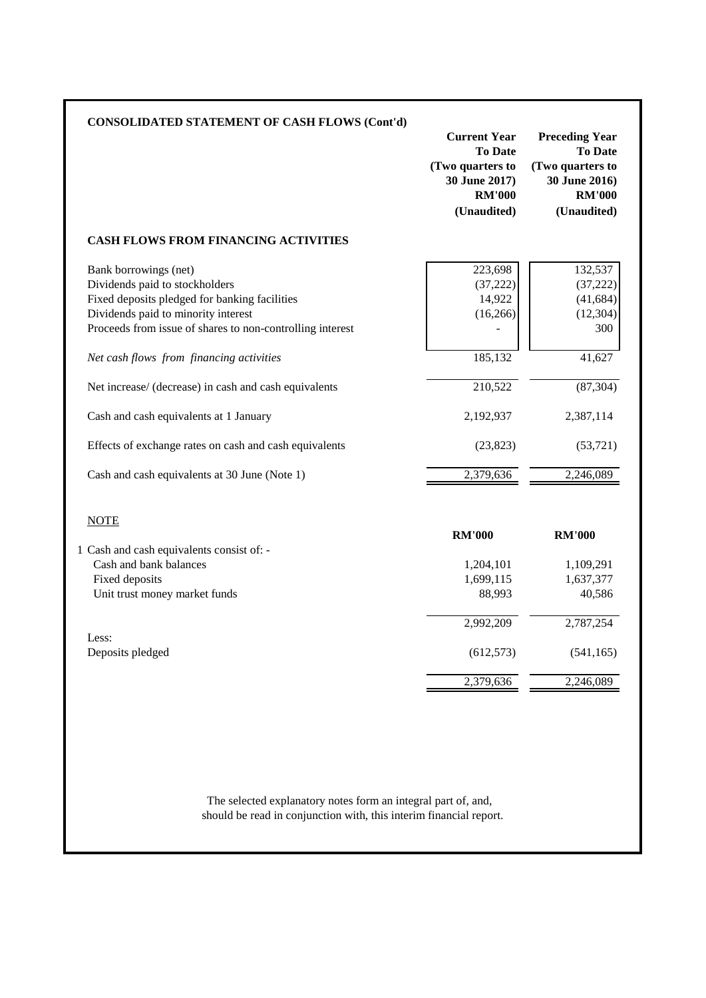| <b>CONSOLIDATED STATEMENT OF CASH FLOWS (Cont'd)</b>                                                                                                                                                         | <b>Current Year</b><br><b>To Date</b><br>(Two quarters to<br>30 June 2017)<br><b>RM'000</b><br>(Unaudited) | <b>Preceding Year</b><br><b>To Date</b><br>(Two quarters to<br>30 June 2016)<br><b>RM'000</b><br>(Unaudited) |
|--------------------------------------------------------------------------------------------------------------------------------------------------------------------------------------------------------------|------------------------------------------------------------------------------------------------------------|--------------------------------------------------------------------------------------------------------------|
| <b>CASH FLOWS FROM FINANCING ACTIVITIES</b>                                                                                                                                                                  |                                                                                                            |                                                                                                              |
| Bank borrowings (net)<br>Dividends paid to stockholders<br>Fixed deposits pledged for banking facilities<br>Dividends paid to minority interest<br>Proceeds from issue of shares to non-controlling interest | 223,698<br>(37, 222)<br>14,922<br>(16, 266)                                                                | 132,537<br>(37, 222)<br>(41, 684)<br>(12, 304)<br>300                                                        |
| Net cash flows from financing activities                                                                                                                                                                     | 185,132                                                                                                    | 41,627                                                                                                       |
| Net increase/ (decrease) in cash and cash equivalents                                                                                                                                                        | 210,522                                                                                                    | (87, 304)                                                                                                    |
| Cash and cash equivalents at 1 January                                                                                                                                                                       | 2,192,937                                                                                                  | 2,387,114                                                                                                    |
| Effects of exchange rates on cash and cash equivalents                                                                                                                                                       | (23, 823)                                                                                                  | (53, 721)                                                                                                    |
| Cash and cash equivalents at 30 June (Note 1)                                                                                                                                                                | 2,379,636                                                                                                  | 2,246,089                                                                                                    |
| <b>NOTE</b>                                                                                                                                                                                                  |                                                                                                            |                                                                                                              |
|                                                                                                                                                                                                              | <b>RM'000</b>                                                                                              | <b>RM'000</b>                                                                                                |
| 1 Cash and cash equivalents consist of: -<br>Cash and bank balances<br>Fixed deposits<br>Unit trust money market funds                                                                                       | 1,204,101<br>1,699,115<br>88,993                                                                           | 1,109,291<br>1,637,377<br>40,586                                                                             |
|                                                                                                                                                                                                              | 2,992,209                                                                                                  | 2,787,254                                                                                                    |
| Less:<br>Deposits pledged                                                                                                                                                                                    | (612, 573)                                                                                                 | (541, 165)                                                                                                   |
|                                                                                                                                                                                                              | 2,379,636                                                                                                  | 2,246,089                                                                                                    |

should be read in conjunction with, this interim financial report. The selected explanatory notes form an integral part of, and,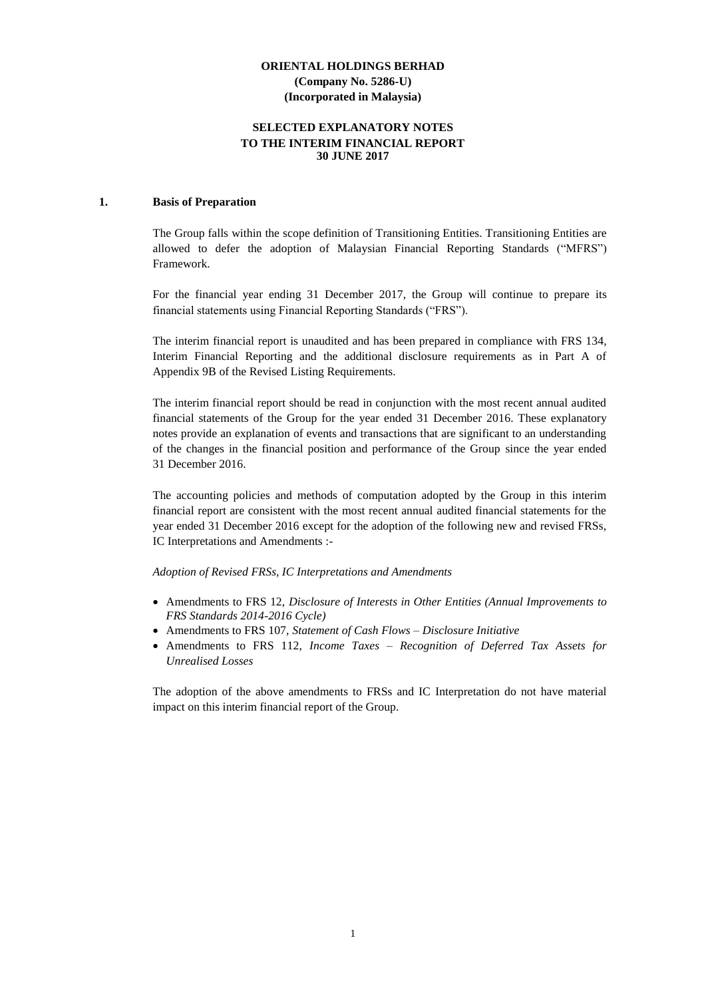# **SELECTED EXPLANATORY NOTES TO THE INTERIM FINANCIAL REPORT 30 JUNE 2017**

#### **1. Basis of Preparation**

The Group falls within the scope definition of Transitioning Entities. Transitioning Entities are allowed to defer the adoption of Malaysian Financial Reporting Standards ("MFRS") Framework.

For the financial year ending 31 December 2017, the Group will continue to prepare its financial statements using Financial Reporting Standards ("FRS").

The interim financial report is unaudited and has been prepared in compliance with FRS 134, Interim Financial Reporting and the additional disclosure requirements as in Part A of Appendix 9B of the Revised Listing Requirements.

The interim financial report should be read in conjunction with the most recent annual audited financial statements of the Group for the year ended 31 December 2016. These explanatory notes provide an explanation of events and transactions that are significant to an understanding of the changes in the financial position and performance of the Group since the year ended 31 December 2016.

The accounting policies and methods of computation adopted by the Group in this interim financial report are consistent with the most recent annual audited financial statements for the year ended 31 December 2016 except for the adoption of the following new and revised FRSs, IC Interpretations and Amendments :-

*Adoption of Revised FRSs, IC Interpretations and Amendments*

- Amendments to FRS 12, *Disclosure of Interests in Other Entities (Annual Improvements to FRS Standards 2014-2016 Cycle)*
- Amendments to FRS 107, *Statement of Cash Flows – Disclosure Initiative*
- Amendments to FRS 112, *Income Taxes – Recognition of Deferred Tax Assets for Unrealised Losses*

The adoption of the above amendments to FRSs and IC Interpretation do not have material impact on this interim financial report of the Group.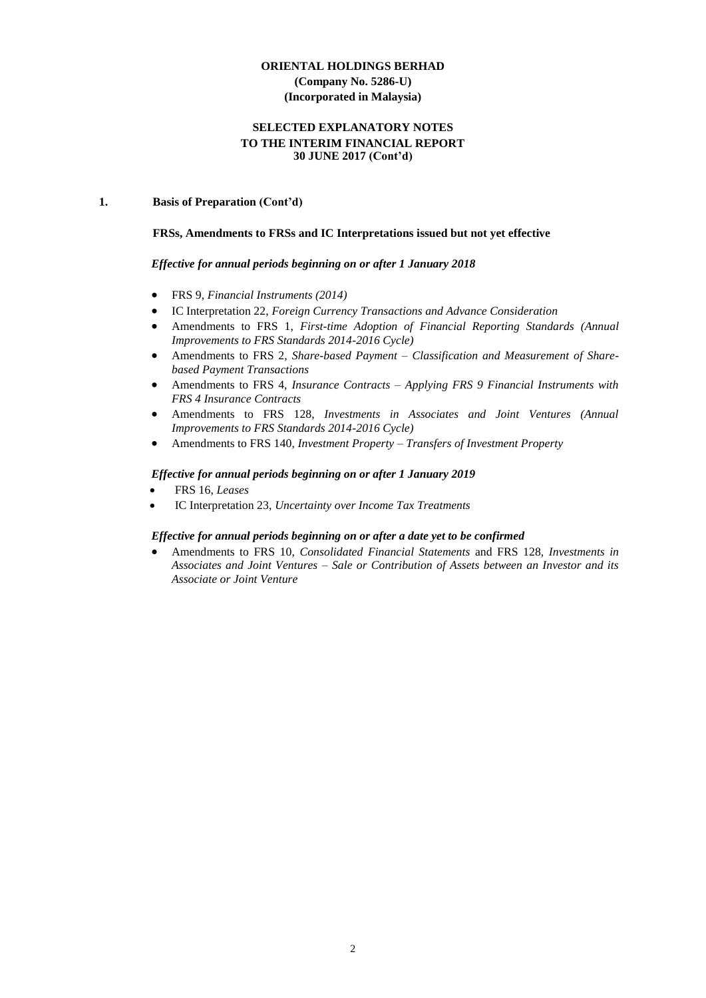# **SELECTED EXPLANATORY NOTES TO THE INTERIM FINANCIAL REPORT 30 JUNE 2017 (Cont'd)**

#### **1. Basis of Preparation (Cont'd)**

#### **FRSs, Amendments to FRSs and IC Interpretations issued but not yet effective**

#### *Effective for annual periods beginning on or after 1 January 2018*

- FRS 9, *Financial Instruments (2014)*
- IC Interpretation 22, *Foreign Currency Transactions and Advance Consideration*
- Amendments to FRS 1, *First-time Adoption of [Financial Reporting Standards](http://masb.org.my/pdf/MFRS%201%20042015.pdf) (Annual Improvements to FRS Standards 2014-2016 Cycle)*
- Amendments to FRS 2, *[Share-based Payment](http://www.masb.org.my/pdf/frs2_14sept10.pdf) – Classification and Measurement of Sharebased Payment Transactions*
- Amendments to FRS 4, *Insurance Contracts – Applying FRS 9 Financial Instruments with FRS 4 Insurance Contracts*
- Amendments to FRS 128, *Investments in Associates and Joint Ventures (Annual Improvements to FRS Standards 2014-2016 Cycle)*
- Amendments to FRS 140, *Investment Property – Transfers of Investment Property*

#### *Effective for annual periods beginning on or after 1 January 2019*

- FRS 16, *Leases*
- IC Interpretation 23, *Uncertainty over Income Tax Treatments*

# *Effective for annual periods beginning on or after a date yet to be confirmed*

• Amendments to FRS 10, *Consolidated Financial Statements* and FRS 128, *Investments in Associates and Joint Ventures – Sale or Contribution of Assets between an Investor and its Associate or Joint Venture*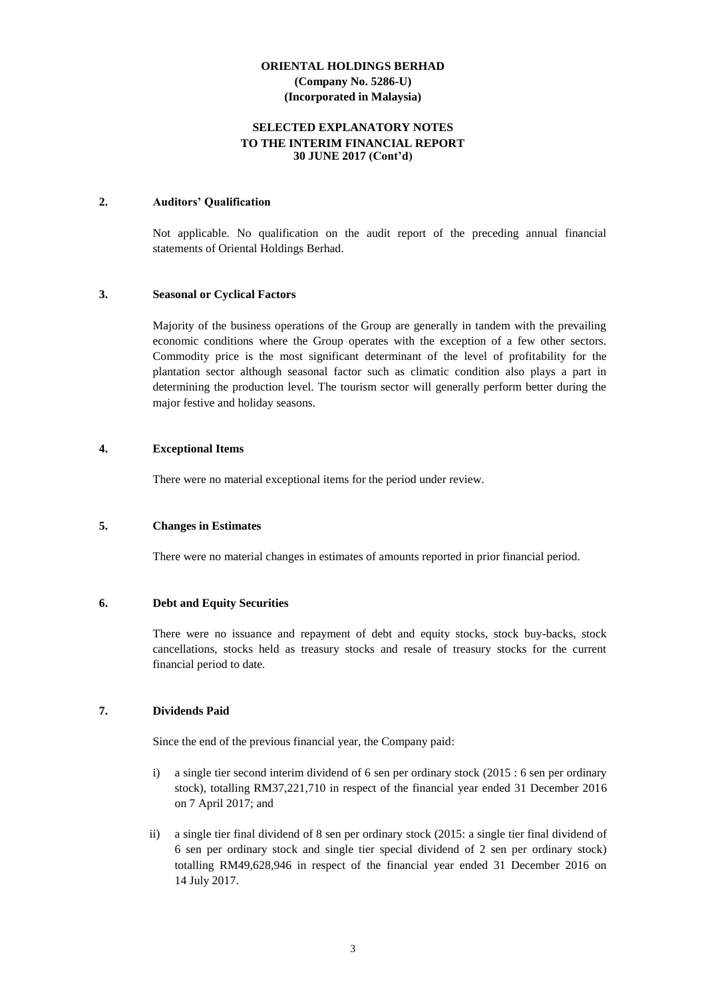## **SELECTED EXPLANATORY NOTES TO THE INTERIM FINANCIAL REPORT 30 JUNE 2017 (Cont'd)**

#### **2. Auditors' Qualification**

Not applicable. No qualification on the audit report of the preceding annual financial statements of Oriental Holdings Berhad.

#### **3. Seasonal or Cyclical Factors**

Majority of the business operations of the Group are generally in tandem with the prevailing economic conditions where the Group operates with the exception of a few other sectors. Commodity price is the most significant determinant of the level of profitability for the plantation sector although seasonal factor such as climatic condition also plays a part in determining the production level. The tourism sector will generally perform better during the major festive and holiday seasons.

#### **4. Exceptional Items**

There were no material exceptional items for the period under review.

#### **5. Changes in Estimates**

There were no material changes in estimates of amounts reported in prior financial period.

#### **6. Debt and Equity Securities**

There were no issuance and repayment of debt and equity stocks, stock buy-backs, stock cancellations, stocks held as treasury stocks and resale of treasury stocks for the current financial period to date.

#### **7. Dividends Paid**

Since the end of the previous financial year, the Company paid:

- i) a single tier second interim dividend of 6 sen per ordinary stock (2015 : 6 sen per ordinary stock), totalling RM37,221,710 in respect of the financial year ended 31 December 2016 on 7 April 2017; and
- ii) a single tier final dividend of 8 sen per ordinary stock (2015: a single tier final dividend of 6 sen per ordinary stock and single tier special dividend of 2 sen per ordinary stock) totalling RM49,628,946 in respect of the financial year ended 31 December 2016 on 14 July 2017.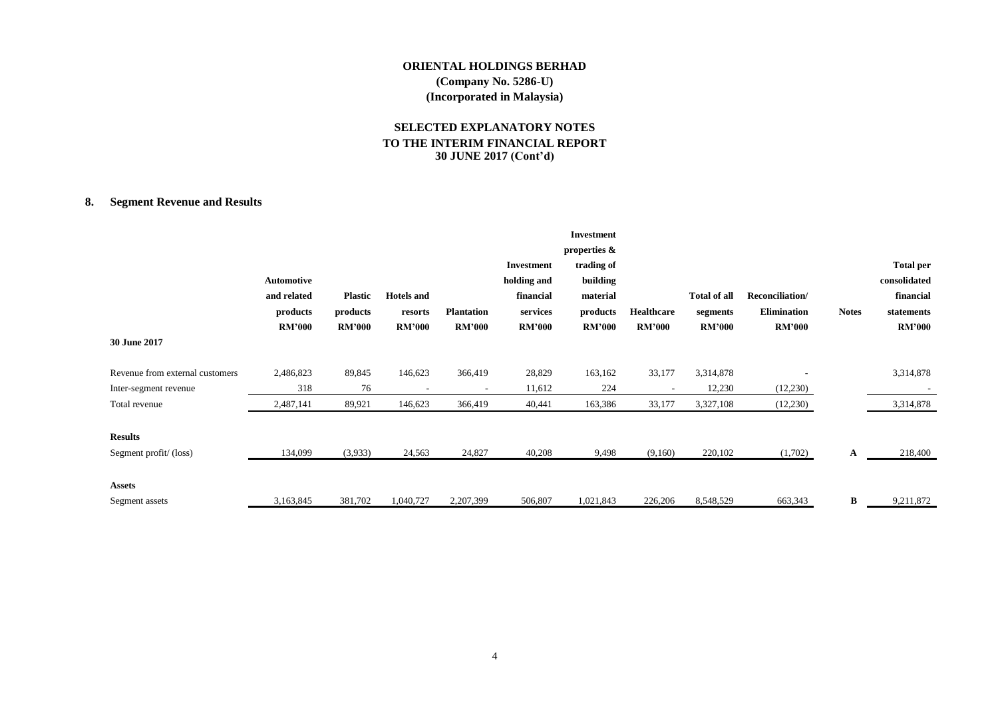# **SELECTED EXPLANATORY NOTES TO THE INTERIM FINANCIAL REPORT 30 JUNE 2017 (Cont'd)**

# **8. Segment Revenue and Results**

|                                 |               |                |                   |                   |               | Investment    |               |                     |                    |              |                  |
|---------------------------------|---------------|----------------|-------------------|-------------------|---------------|---------------|---------------|---------------------|--------------------|--------------|------------------|
|                                 |               |                |                   |                   |               | properties &  |               |                     |                    |              |                  |
|                                 |               |                |                   |                   | Investment    | trading of    |               |                     |                    |              | <b>Total per</b> |
|                                 | Automotive    |                |                   |                   | holding and   | building      |               |                     |                    |              | consolidated     |
|                                 | and related   | <b>Plastic</b> | <b>Hotels</b> and |                   | financial     | material      |               | <b>Total of all</b> | Reconciliation/    |              | financial        |
|                                 | products      | products       | resorts           | <b>Plantation</b> | services      | products      | Healthcare    | segments            | <b>Elimination</b> | <b>Notes</b> | statements       |
|                                 | <b>RM'000</b> | <b>RM'000</b>  | <b>RM'000</b>     | <b>RM'000</b>     | <b>RM'000</b> | <b>RM'000</b> | <b>RM'000</b> | <b>RM'000</b>       | <b>RM'000</b>      |              | <b>RM'000</b>    |
| 30 June 2017                    |               |                |                   |                   |               |               |               |                     |                    |              |                  |
| Revenue from external customers | 2,486,823     | 89,845         | 146,623           | 366,419           | 28,829        | 163,162       | 33,177        | 3,314,878           |                    |              | 3,314,878        |
| Inter-segment revenue           | 318           | 76             |                   |                   | 11,612        | 224           |               | 12,230              | (12,230)           |              |                  |
| Total revenue                   | 2,487,141     | 89,921         | 146,623           | 366,419           | 40,441        | 163,386       | 33,177        | 3,327,108           | (12,230)           |              | 3,314,878        |
| <b>Results</b>                  |               |                |                   |                   |               |               |               |                     |                    |              |                  |
| Segment profit/(loss)           | 134,099       | (3,933)        | 24,563            | 24,827            | 40,208        | 9,498         | (9,160)       | 220,102             | (1,702)            | A            | 218,400          |
| <b>Assets</b>                   |               |                |                   |                   |               |               |               |                     |                    |              |                  |
| Segment assets                  | 3,163,845     | 381,702        | 1,040,727         | 2,207,399         | 506,807       | 1,021,843     | 226,206       | 8,548,529           | 663,343            | B            | 9,211,872        |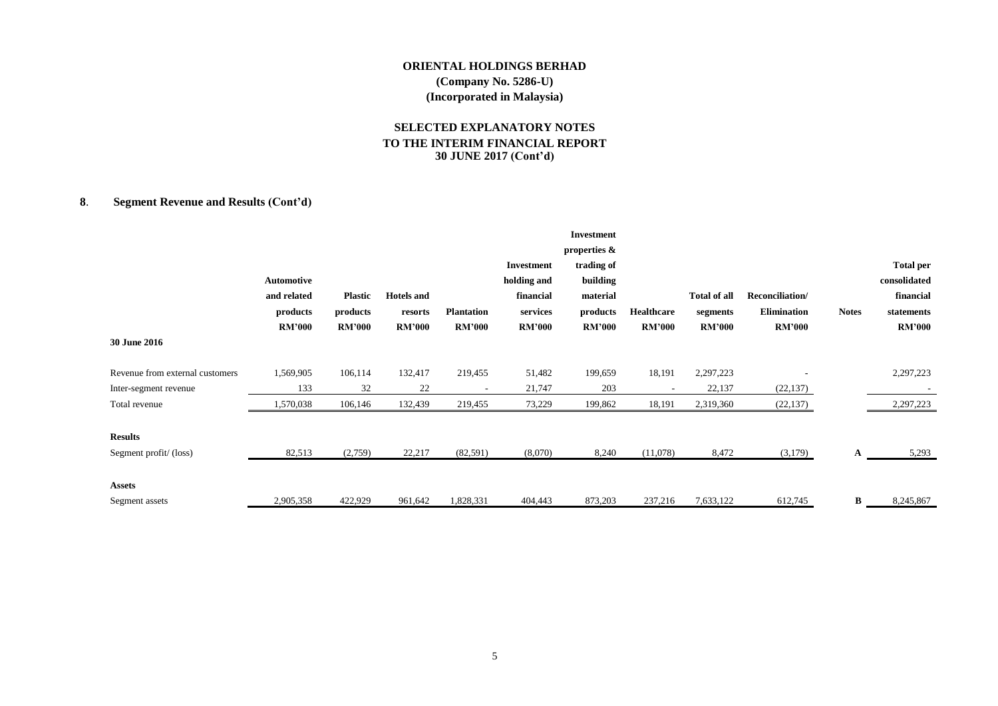# **SELECTED EXPLANATORY NOTES TO THE INTERIM FINANCIAL REPORT 30 JUNE 2017 (Cont'd)**

# **8**. **Segment Revenue and Results (Cont'd)**

|                                 |               |                |                   |                   |               | <b>Investment</b> |               |                     |                 |              |                  |
|---------------------------------|---------------|----------------|-------------------|-------------------|---------------|-------------------|---------------|---------------------|-----------------|--------------|------------------|
|                                 |               |                |                   |                   |               | properties &      |               |                     |                 |              |                  |
|                                 |               |                |                   |                   | Investment    | trading of        |               |                     |                 |              | <b>Total per</b> |
|                                 | Automotive    |                |                   |                   | holding and   | building          |               |                     |                 |              | consolidated     |
|                                 | and related   | <b>Plastic</b> | <b>Hotels</b> and |                   | financial     | material          |               | <b>Total of all</b> | Reconciliation/ |              | financial        |
|                                 | products      | products       | resorts           | <b>Plantation</b> | services      | products          | Healthcare    | segments            | Elimination     | <b>Notes</b> | statements       |
|                                 | <b>RM'000</b> | <b>RM'000</b>  | <b>RM'000</b>     | <b>RM'000</b>     | <b>RM'000</b> | <b>RM'000</b>     | <b>RM'000</b> | <b>RM'000</b>       | <b>RM'000</b>   |              | <b>RM'000</b>    |
| 30 June 2016                    |               |                |                   |                   |               |                   |               |                     |                 |              |                  |
| Revenue from external customers | 1,569,905     | 106,114        | 132,417           | 219,455           | 51,482        | 199,659           | 18,191        | 2,297,223           |                 |              | 2,297,223        |
| Inter-segment revenue           | 133           | 32             | 22                |                   | 21,747        | 203               |               | 22,137              | (22, 137)       |              |                  |
| Total revenue                   | 1,570,038     | 106,146        | 132,439           | 219,455           | 73,229        | 199,862           | 18,191        | 2,319,360           | (22, 137)       |              | 2,297,223        |
| <b>Results</b>                  |               |                |                   |                   |               |                   |               |                     |                 |              |                  |
| Segment profit/(loss)           | 82,513        | (2,759)        | 22,217            | (82, 591)         | (8,070)       | 8,240             | (11,078)      | 8,472               | (3,179)         | A            | 5,293            |
| <b>Assets</b>                   |               |                |                   |                   |               |                   |               |                     |                 |              |                  |
| Segment assets                  | 2,905,358     | 422,929        | 961,642           | 1,828,331         | 404,443       | 873,203           | 237,216       | 7,633,122           | 612,745         | B            | 8,245,867        |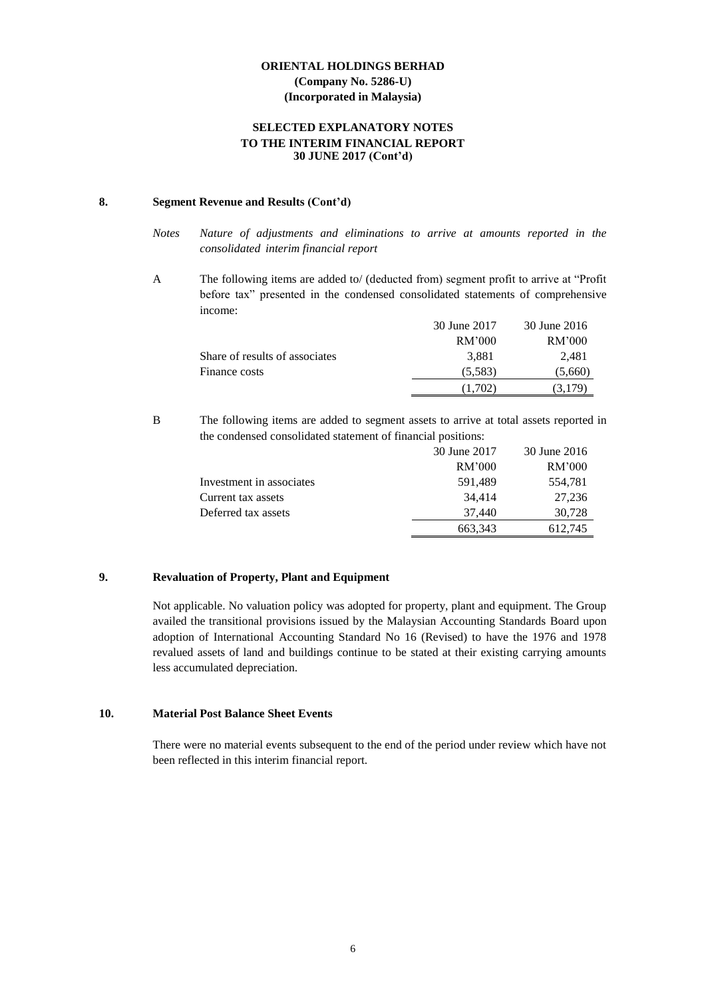# **SELECTED EXPLANATORY NOTES TO THE INTERIM FINANCIAL REPORT 30 JUNE 2017 (Cont'd)**

# **8. Segment Revenue and Results (Cont'd)**

- *Notes Nature of adjustments and eliminations to arrive at amounts reported in the consolidated interim financial report*
- A The following items are added to/ (deducted from) segment profit to arrive at "Profit before tax" presented in the condensed consolidated statements of comprehensive income:

|                                | 30 June 2017 | 30 June 2016 |
|--------------------------------|--------------|--------------|
|                                | RM'000       | RM'000       |
| Share of results of associates | 3.881        | 2.481        |
| Finance costs                  | (5,583)      | (5,660)      |
|                                | 1.702        | 3.179        |

B The following items are added to segment assets to arrive at total assets reported in the condensed consolidated statement of financial positions:

|                          | 30 June 2017 | 30 June 2016 |
|--------------------------|--------------|--------------|
|                          | RM'000       | RM'000       |
| Investment in associates | 591,489      | 554,781      |
| Current tax assets       | 34.414       | 27.236       |
| Deferred tax assets      | 37.440       | 30,728       |
|                          | 663,343      | 612,745      |

# **9. Revaluation of Property, Plant and Equipment**

Not applicable. No valuation policy was adopted for property, plant and equipment. The Group availed the transitional provisions issued by the Malaysian Accounting Standards Board upon adoption of International Accounting Standard No 16 (Revised) to have the 1976 and 1978 revalued assets of land and buildings continue to be stated at their existing carrying amounts less accumulated depreciation.

#### **10. Material Post Balance Sheet Events**

There were no material events subsequent to the end of the period under review which have not been reflected in this interim financial report.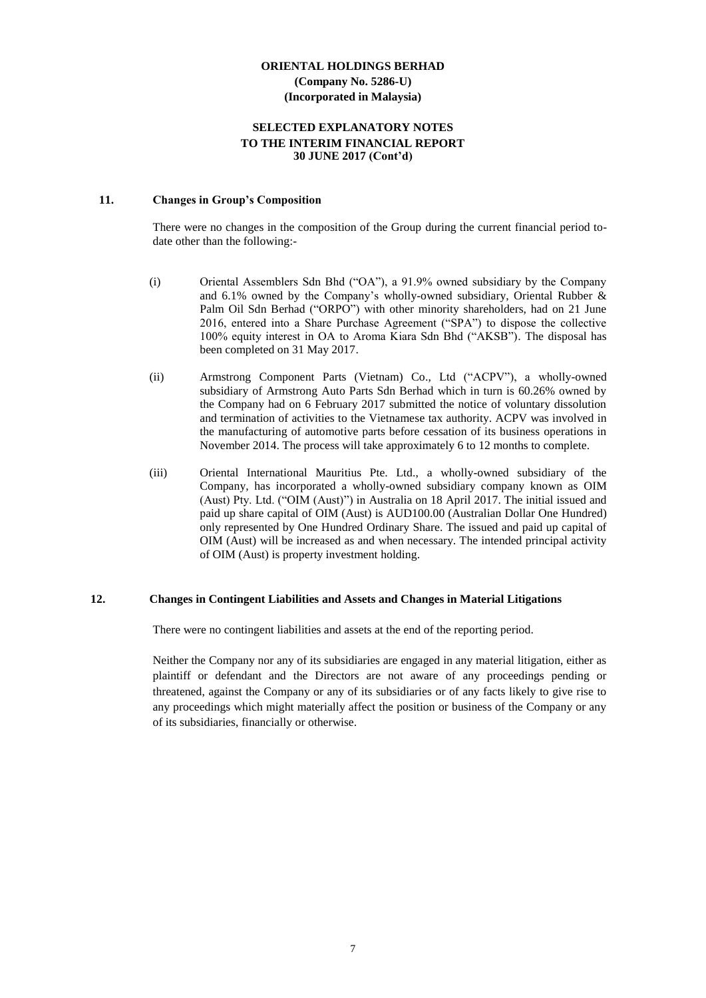## **SELECTED EXPLANATORY NOTES TO THE INTERIM FINANCIAL REPORT 30 JUNE 2017 (Cont'd)**

# **11. Changes in Group's Composition**

There were no changes in the composition of the Group during the current financial period todate other than the following:-

- (i) Oriental Assemblers Sdn Bhd ("OA"), a 91.9% owned subsidiary by the Company and 6.1% owned by the Company's wholly-owned subsidiary, Oriental Rubber & Palm Oil Sdn Berhad ("ORPO") with other minority shareholders, had on 21 June 2016, entered into a Share Purchase Agreement ("SPA") to dispose the collective 100% equity interest in OA to Aroma Kiara Sdn Bhd ("AKSB"). The disposal has been completed on 31 May 2017.
- (ii) Armstrong Component Parts (Vietnam) Co., Ltd ("ACPV"), a wholly-owned subsidiary of Armstrong Auto Parts Sdn Berhad which in turn is 60.26% owned by the Company had on 6 February 2017 submitted the notice of voluntary dissolution and termination of activities to the Vietnamese tax authority. ACPV was involved in the manufacturing of automotive parts before cessation of its business operations in November 2014. The process will take approximately 6 to 12 months to complete.
- (iii) Oriental International Mauritius Pte. Ltd., a wholly-owned subsidiary of the Company, has incorporated a wholly-owned subsidiary company known as OIM (Aust) Pty. Ltd. ("OIM (Aust)") in Australia on 18 April 2017. The initial issued and paid up share capital of OIM (Aust) is AUD100.00 (Australian Dollar One Hundred) only represented by One Hundred Ordinary Share. The issued and paid up capital of OIM (Aust) will be increased as and when necessary. The intended principal activity of OIM (Aust) is property investment holding.

#### **12. Changes in Contingent Liabilities and Assets and Changes in Material Litigations**

There were no contingent liabilities and assets at the end of the reporting period.

Neither the Company nor any of its subsidiaries are engaged in any material litigation, either as plaintiff or defendant and the Directors are not aware of any proceedings pending or threatened, against the Company or any of its subsidiaries or of any facts likely to give rise to any proceedings which might materially affect the position or business of the Company or any of its subsidiaries, financially or otherwise.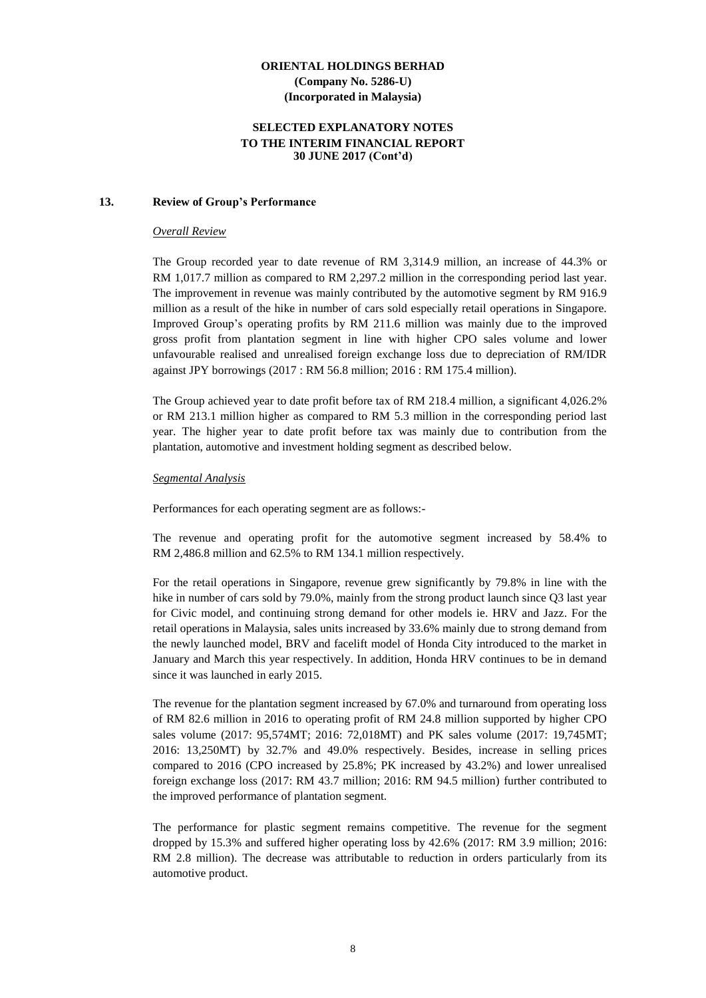## **SELECTED EXPLANATORY NOTES TO THE INTERIM FINANCIAL REPORT 30 JUNE 2017 (Cont'd)**

#### **13. Review of Group's Performance**

#### *Overall Review*

The Group recorded year to date revenue of RM 3,314.9 million, an increase of 44.3% or RM 1,017.7 million as compared to RM 2,297.2 million in the corresponding period last year. The improvement in revenue was mainly contributed by the automotive segment by RM 916.9 million as a result of the hike in number of cars sold especially retail operations in Singapore. Improved Group's operating profits by RM 211.6 million was mainly due to the improved gross profit from plantation segment in line with higher CPO sales volume and lower unfavourable realised and unrealised foreign exchange loss due to depreciation of RM/IDR against JPY borrowings (2017 : RM 56.8 million; 2016 : RM 175.4 million).

The Group achieved year to date profit before tax of RM 218.4 million, a significant 4,026.2% or RM 213.1 million higher as compared to RM 5.3 million in the corresponding period last year. The higher year to date profit before tax was mainly due to contribution from the plantation, automotive and investment holding segment as described below.

#### *Segmental Analysis*

Performances for each operating segment are as follows:-

The revenue and operating profit for the automotive segment increased by 58.4% to RM 2,486.8 million and 62.5% to RM 134.1 million respectively.

For the retail operations in Singapore, revenue grew significantly by 79.8% in line with the hike in number of cars sold by 79.0%, mainly from the strong product launch since Q3 last year for Civic model, and continuing strong demand for other models ie. HRV and Jazz. For the retail operations in Malaysia, sales units increased by 33.6% mainly due to strong demand from the newly launched model, BRV and facelift model of Honda City introduced to the market in January and March this year respectively. In addition, Honda HRV continues to be in demand since it was launched in early 2015.

The revenue for the plantation segment increased by 67.0% and turnaround from operating loss of RM 82.6 million in 2016 to operating profit of RM 24.8 million supported by higher CPO sales volume (2017: 95,574MT; 2016: 72,018MT) and PK sales volume (2017: 19,745MT; 2016: 13,250MT) by 32.7% and 49.0% respectively. Besides, increase in selling prices compared to 2016 (CPO increased by 25.8%; PK increased by 43.2%) and lower unrealised foreign exchange loss (2017: RM 43.7 million; 2016: RM 94.5 million) further contributed to the improved performance of plantation segment.

The performance for plastic segment remains competitive. The revenue for the segment dropped by 15.3% and suffered higher operating loss by 42.6% (2017: RM 3.9 million; 2016: RM 2.8 million). The decrease was attributable to reduction in orders particularly from its automotive product.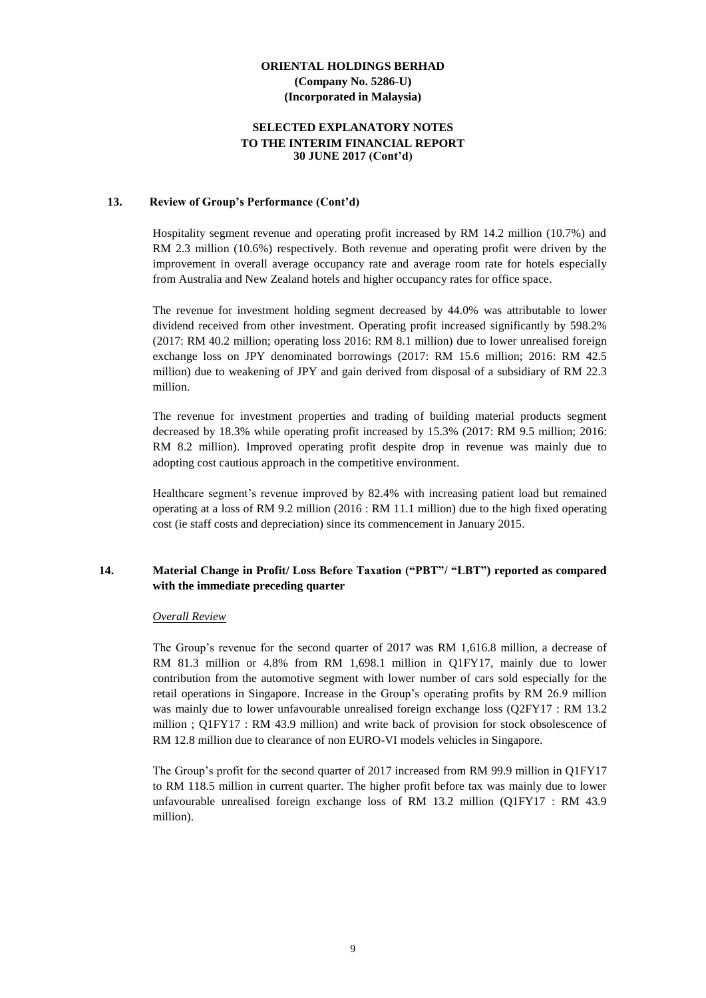#### **SELECTED EXPLANATORY NOTES TO THE INTERIM FINANCIAL REPORT 30 JUNE 2017 (Cont'd)**

#### **13. Review of Group's Performance (Cont'd)**

Hospitality segment revenue and operating profit increased by RM 14.2 million (10.7%) and RM 2.3 million (10.6%) respectively. Both revenue and operating profit were driven by the improvement in overall average occupancy rate and average room rate for hotels especially from Australia and New Zealand hotels and higher occupancy rates for office space.

The revenue for investment holding segment decreased by 44.0% was attributable to lower dividend received from other investment. Operating profit increased significantly by 598.2% (2017: RM 40.2 million; operating loss 2016: RM 8.1 million) due to lower unrealised foreign exchange loss on JPY denominated borrowings (2017: RM 15.6 million; 2016: RM 42.5 million) due to weakening of JPY and gain derived from disposal of a subsidiary of RM 22.3 million.

The revenue for investment properties and trading of building material products segment decreased by 18.3% while operating profit increased by 15.3% (2017: RM 9.5 million; 2016: RM 8.2 million). Improved operating profit despite drop in revenue was mainly due to adopting cost cautious approach in the competitive environment.

Healthcare segment's revenue improved by 82.4% with increasing patient load but remained operating at a loss of RM 9.2 million (2016 : RM 11.1 million) due to the high fixed operating cost (ie staff costs and depreciation) since its commencement in January 2015.

# **14. Material Change in Profit/ Loss Before Taxation ("PBT"/ "LBT") reported as compared with the immediate preceding quarter**

#### *Overall Review*

The Group's revenue for the second quarter of 2017 was RM 1,616.8 million, a decrease of RM 81.3 million or 4.8% from RM 1,698.1 million in Q1FY17, mainly due to lower contribution from the automotive segment with lower number of cars sold especially for the retail operations in Singapore. Increase in the Group's operating profits by RM 26.9 million was mainly due to lower unfavourable unrealised foreign exchange loss (Q2FY17 : RM 13.2 million ; Q1FY17 : RM 43.9 million) and write back of provision for stock obsolescence of RM 12.8 million due to clearance of non EURO-VI models vehicles in Singapore.

The Group's profit for the second quarter of 2017 increased from RM 99.9 million in Q1FY17 to RM 118.5 million in current quarter. The higher profit before tax was mainly due to lower unfavourable unrealised foreign exchange loss of RM 13.2 million (Q1FY17 : RM 43.9 million).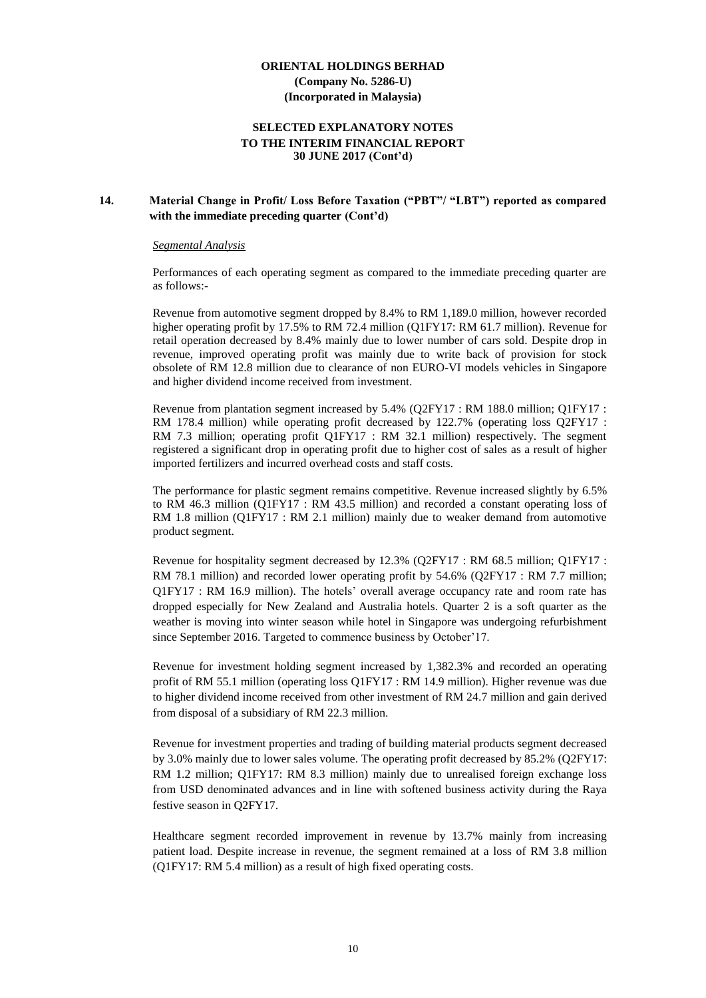# **SELECTED EXPLANATORY NOTES TO THE INTERIM FINANCIAL REPORT 30 JUNE 2017 (Cont'd)**

# **14. Material Change in Profit/ Loss Before Taxation ("PBT"/ "LBT") reported as compared with the immediate preceding quarter (Cont'd)**

#### *Segmental Analysis*

Performances of each operating segment as compared to the immediate preceding quarter are as follows:-

Revenue from automotive segment dropped by 8.4% to RM 1,189.0 million, however recorded higher operating profit by 17.5% to RM 72.4 million (Q1FY17: RM 61.7 million). Revenue for retail operation decreased by 8.4% mainly due to lower number of cars sold. Despite drop in revenue, improved operating profit was mainly due to write back of provision for stock obsolete of RM 12.8 million due to clearance of non EURO-VI models vehicles in Singapore and higher dividend income received from investment.

Revenue from plantation segment increased by 5.4% (Q2FY17 : RM 188.0 million; Q1FY17 : RM 178.4 million) while operating profit decreased by 122.7% (operating loss Q2FY17 : RM 7.3 million; operating profit Q1FY17 : RM 32.1 million) respectively. The segment registered a significant drop in operating profit due to higher cost of sales as a result of higher imported fertilizers and incurred overhead costs and staff costs.

The performance for plastic segment remains competitive. Revenue increased slightly by 6.5% to RM 46.3 million (Q1FY17 : RM 43.5 million) and recorded a constant operating loss of RM 1.8 million (Q1FY17 : RM 2.1 million) mainly due to weaker demand from automotive product segment.

Revenue for hospitality segment decreased by 12.3% (Q2FY17 : RM 68.5 million; Q1FY17 : RM 78.1 million) and recorded lower operating profit by 54.6% (Q2FY17 : RM 7.7 million; Q1FY17 : RM 16.9 million). The hotels' overall average occupancy rate and room rate has dropped especially for New Zealand and Australia hotels. Quarter 2 is a soft quarter as the weather is moving into winter season while hotel in Singapore was undergoing refurbishment since September 2016. Targeted to commence business by October'17.

Revenue for investment holding segment increased by 1,382.3% and recorded an operating profit of RM 55.1 million (operating loss Q1FY17 : RM 14.9 million). Higher revenue was due to higher dividend income received from other investment of RM 24.7 million and gain derived from disposal of a subsidiary of RM 22.3 million.

Revenue for investment properties and trading of building material products segment decreased by 3.0% mainly due to lower sales volume. The operating profit decreased by 85.2% (Q2FY17: RM 1.2 million; Q1FY17: RM 8.3 million) mainly due to unrealised foreign exchange loss from USD denominated advances and in line with softened business activity during the Raya festive season in Q2FY17.

Healthcare segment recorded improvement in revenue by 13.7% mainly from increasing patient load. Despite increase in revenue, the segment remained at a loss of RM 3.8 million (Q1FY17: RM 5.4 million) as a result of high fixed operating costs.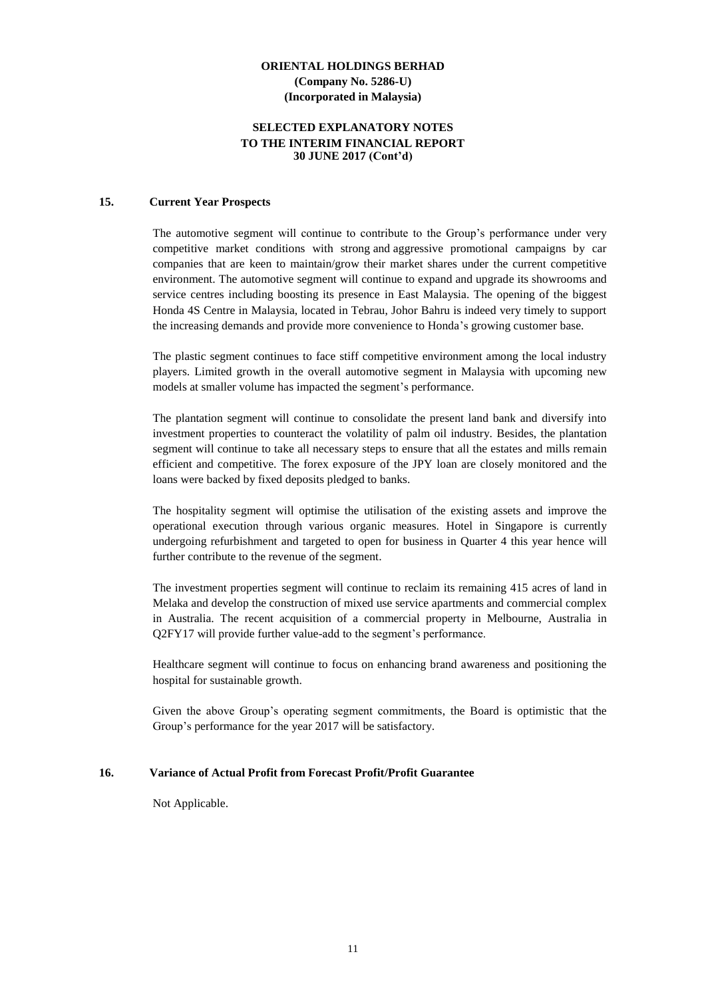# **SELECTED EXPLANATORY NOTES TO THE INTERIM FINANCIAL REPORT 30 JUNE 2017 (Cont'd)**

#### **15. Current Year Prospects**

The automotive segment will continue to contribute to the Group's performance under very competitive market conditions with strong and aggressive promotional campaigns by car companies that are keen to maintain/grow their market shares under the current competitive environment. The automotive segment will continue to expand and upgrade its showrooms and service centres including boosting its presence in East Malaysia. The opening of the biggest Honda 4S Centre in Malaysia, located in Tebrau, Johor Bahru is indeed very timely to support the increasing demands and provide more convenience to Honda's growing customer base.

The plastic segment continues to face stiff competitive environment among the local industry players. Limited growth in the overall automotive segment in Malaysia with upcoming new models at smaller volume has impacted the segment's performance.

The plantation segment will continue to consolidate the present land bank and diversify into investment properties to counteract the volatility of palm oil industry. Besides, the plantation segment will continue to take all necessary steps to ensure that all the estates and mills remain efficient and competitive. The forex exposure of the JPY loan are closely monitored and the loans were backed by fixed deposits pledged to banks.

The hospitality segment will optimise the utilisation of the existing assets and improve the operational execution through various organic measures. Hotel in Singapore is currently undergoing refurbishment and targeted to open for business in Quarter 4 this year hence will further contribute to the revenue of the segment.

The investment properties segment will continue to reclaim its remaining 415 acres of land in Melaka and develop the construction of mixed use service apartments and commercial complex in Australia. The recent acquisition of a commercial property in Melbourne, Australia in Q2FY17 will provide further value-add to the segment's performance.

Healthcare segment will continue to focus on enhancing brand awareness and positioning the hospital for sustainable growth.

Given the above Group's operating segment commitments, the Board is optimistic that the Group's performance for the year 2017 will be satisfactory.

# **16. Variance of Actual Profit from Forecast Profit/Profit Guarantee**

Not Applicable.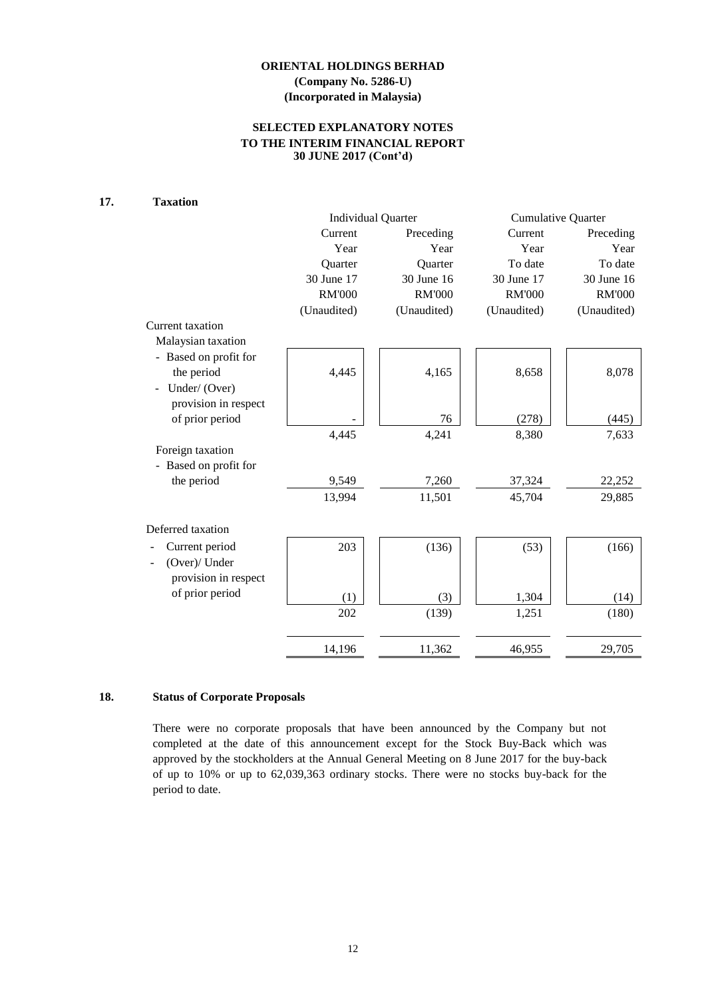# **SELECTED EXPLANATORY NOTES TO THE INTERIM FINANCIAL REPORT 30 JUNE 2017 (Cont'd)**

# **17. Taxation**

|                                 |               | <b>Individual Quarter</b> | <b>Cumulative Quarter</b> |               |  |  |
|---------------------------------|---------------|---------------------------|---------------------------|---------------|--|--|
|                                 | Current       | Preceding                 | Current                   | Preceding     |  |  |
|                                 | Year          | Year                      | Year                      | Year          |  |  |
|                                 | Quarter       | Quarter                   | To date                   | To date       |  |  |
|                                 | 30 June 17    | 30 June 16                | 30 June 17                | 30 June 16    |  |  |
|                                 | <b>RM'000</b> | <b>RM'000</b>             | <b>RM'000</b>             | <b>RM'000</b> |  |  |
|                                 | (Unaudited)   | (Unaudited)               | (Unaudited)               | (Unaudited)   |  |  |
| Current taxation                |               |                           |                           |               |  |  |
| Malaysian taxation              |               |                           |                           |               |  |  |
| - Based on profit for           |               |                           |                           |               |  |  |
| the period                      | 4,445         | 4,165                     | 8,658                     | 8,078         |  |  |
| Under/ (Over)<br>$\overline{a}$ |               |                           |                           |               |  |  |
| provision in respect            |               |                           |                           |               |  |  |
| of prior period                 |               | 76                        | (278)                     | (445)         |  |  |
|                                 | 4,445         | 4,241                     | 8,380                     | 7,633         |  |  |
| Foreign taxation                |               |                           |                           |               |  |  |
| - Based on profit for           |               |                           |                           |               |  |  |
| the period                      | 9,549         | 7,260                     | 37,324                    | 22,252        |  |  |
|                                 | 13,994        | 11,501                    | 45,704                    | 29,885        |  |  |
| Deferred taxation               |               |                           |                           |               |  |  |
| Current period                  | 203           | (136)                     | (53)                      | (166)         |  |  |
| (Over)/ Under                   |               |                           |                           |               |  |  |
| provision in respect            |               |                           |                           |               |  |  |
| of prior period                 | (1)           | (3)                       | 1,304                     | (14)          |  |  |
|                                 | 202           | (139)                     | 1,251                     | (180)         |  |  |
|                                 | 14,196        | 11,362                    | 46,955                    | 29,705        |  |  |
|                                 |               |                           |                           |               |  |  |

# **18. Status of Corporate Proposals**

There were no corporate proposals that have been announced by the Company but not completed at the date of this announcement except for the Stock Buy-Back which was approved by the stockholders at the Annual General Meeting on 8 June 2017 for the buy-back of up to 10% or up to 62,039,363 ordinary stocks. There were no stocks buy-back for the period to date.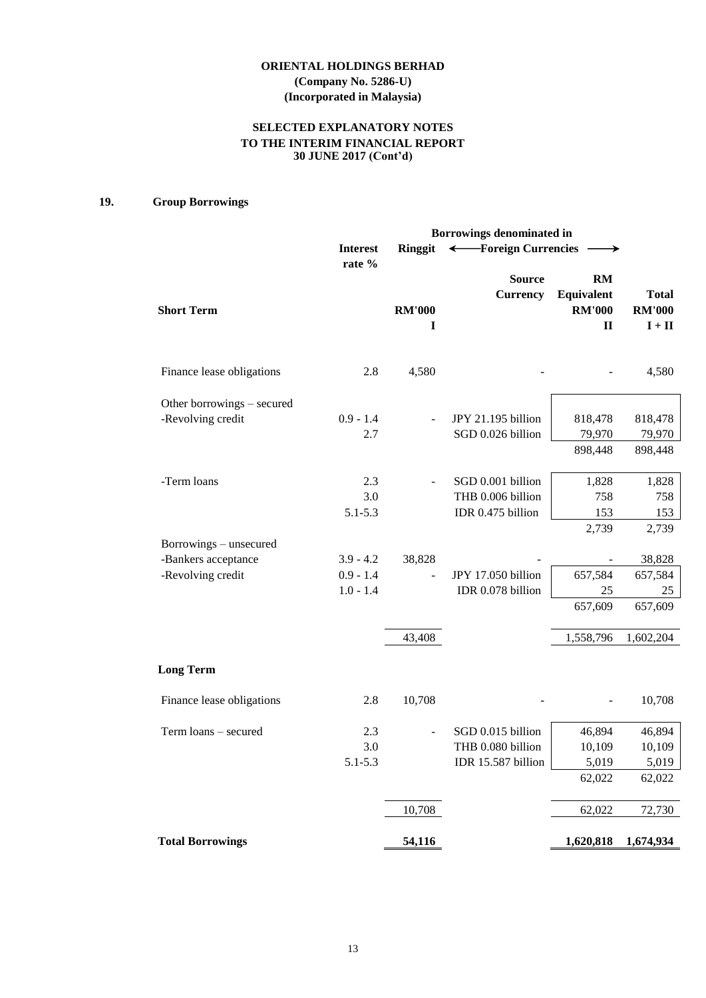# **SELECTED EXPLANATORY NOTES TO THE INTERIM FINANCIAL REPORT 30 JUNE 2017 (Cont'd)**

# **19. Group Borrowings**

|                                          |                                           | Borrowings denominated in |                                                              |                                                  |                                           |  |  |
|------------------------------------------|-------------------------------------------|---------------------------|--------------------------------------------------------------|--------------------------------------------------|-------------------------------------------|--|--|
|                                          | <b>Interest</b>                           | <b>Ringgit</b>            | ← Foreign Currencies                                         | →                                                |                                           |  |  |
| <b>Short Term</b>                        | rate %                                    | <b>RM'000</b><br>I        | <b>Source</b><br><b>Currency</b>                             | RM<br>Equivalent<br><b>RM'000</b><br>$\mathbf H$ | <b>Total</b><br><b>RM'000</b><br>$I + II$ |  |  |
| Finance lease obligations                | 2.8                                       | 4,580                     |                                                              |                                                  | 4,580                                     |  |  |
| Other borrowings - secured               |                                           |                           |                                                              |                                                  |                                           |  |  |
| -Revolving credit                        | $0.9 - 1.4$<br>2.7                        |                           | JPY 21.195 billion<br>SGD 0.026 billion                      | 818,478<br>79,970<br>898,448                     | 818,478<br>79,970<br>898,448              |  |  |
| -Term loans                              | 2.3<br>3.0<br>$5.1 - 5.3$                 |                           | SGD 0.001 billion<br>THB 0.006 billion<br>IDR 0.475 billion  | 1,828<br>758<br>153                              | 1,828<br>758<br>153                       |  |  |
| Borrowings – unsecured                   |                                           |                           |                                                              | 2,739                                            | 2,739                                     |  |  |
| -Bankers acceptance<br>-Revolving credit | $3.9 - 4.2$<br>$0.9 - 1.4$<br>$1.0 - 1.4$ | 38,828                    | JPY 17.050 billion<br>IDR 0.078 billion                      | 657,584<br>25<br>657,609                         | 38,828<br>657,584<br>25<br>657,609        |  |  |
|                                          |                                           | 43,408                    |                                                              | 1,558,796                                        | 1,602,204                                 |  |  |
| <b>Long Term</b>                         |                                           |                           |                                                              |                                                  |                                           |  |  |
| Finance lease obligations                | 2.8                                       | 10,708                    |                                                              |                                                  | 10,708                                    |  |  |
| Term loans - secured                     | 2.3<br>3.0<br>$5.1 - 5.3$                 |                           | SGD 0.015 billion<br>THB 0.080 billion<br>IDR 15.587 billion | 46,894<br>10,109<br>5,019<br>62,022              | 46,894<br>10,109<br>5,019<br>62,022       |  |  |
|                                          |                                           | 10,708                    |                                                              | 62,022                                           | 72,730                                    |  |  |
| <b>Total Borrowings</b>                  |                                           | 54,116                    |                                                              | 1,620,818                                        | 1,674,934                                 |  |  |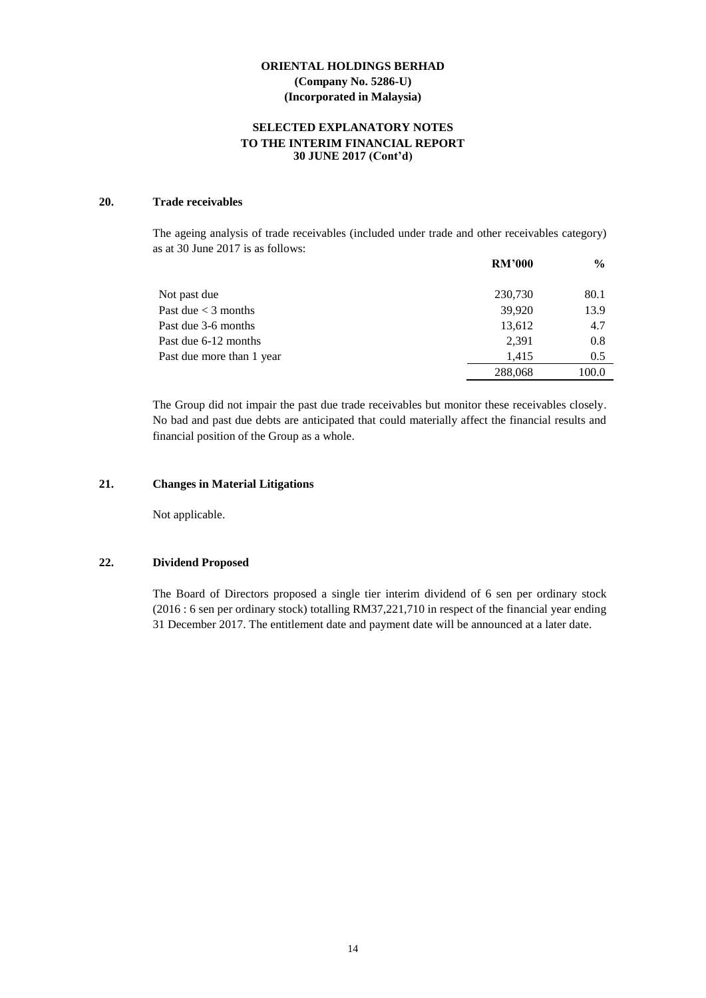# **SELECTED EXPLANATORY NOTES TO THE INTERIM FINANCIAL REPORT 30 JUNE 2017 (Cont'd)**

#### **20. Trade receivables**

The ageing analysis of trade receivables (included under trade and other receivables category) as at 30 June 2017 is as follows:

| <b>RM'000</b> | $\frac{0}{0}$ |
|---------------|---------------|
| 230,730       | 80.1          |
| 39,920        | 13.9          |
| 13,612        | 4.7           |
| 2,391         | 0.8           |
| 1.415         | 0.5           |
| 288,068       | 100.0         |
|               |               |

The Group did not impair the past due trade receivables but monitor these receivables closely. No bad and past due debts are anticipated that could materially affect the financial results and financial position of the Group as a whole.

# **21. Changes in Material Litigations**

Not applicable.

#### **22. Dividend Proposed**

The Board of Directors proposed a single tier interim dividend of 6 sen per ordinary stock (2016 : 6 sen per ordinary stock) totalling RM37,221,710 in respect of the financial year ending 31 December 2017. The entitlement date and payment date will be announced at a later date.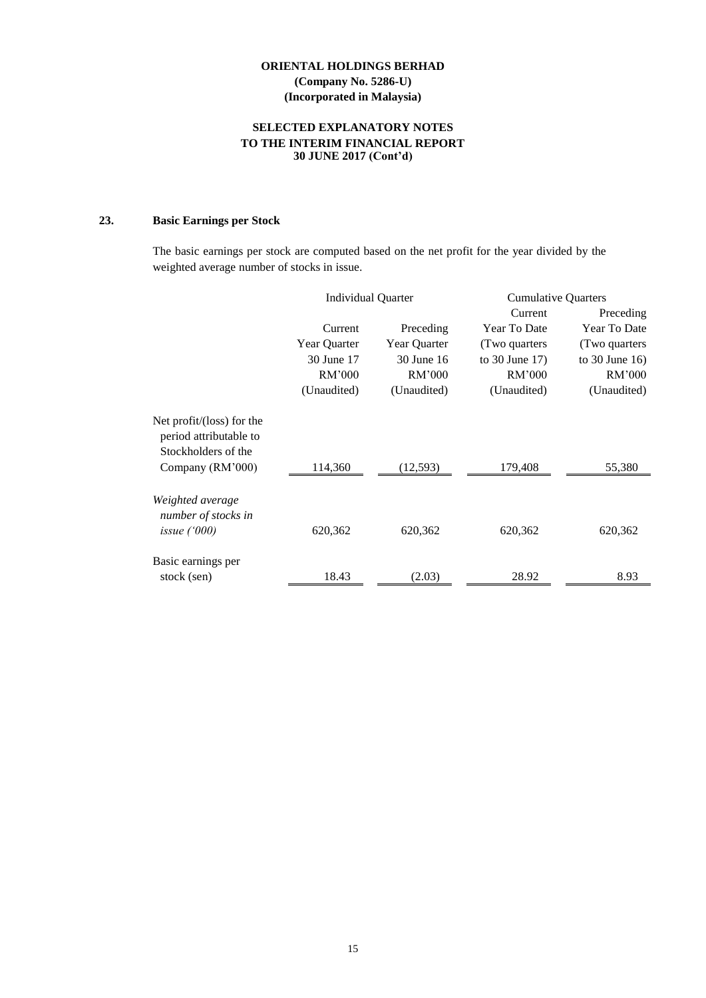# **SELECTED EXPLANATORY NOTES TO THE INTERIM FINANCIAL REPORT 30 JUNE 2017 (Cont'd)**

# **23. Basic Earnings per Stock**

The basic earnings per stock are computed based on the net profit for the year divided by the weighted average number of stocks in issue.

|                                                                            | <b>Individual Quarter</b> |              | <b>Cumulative Quarters</b> |                     |
|----------------------------------------------------------------------------|---------------------------|--------------|----------------------------|---------------------|
|                                                                            |                           |              | Current                    | Preceding           |
|                                                                            | Current                   | Preceding    | Year To Date               | Year To Date        |
|                                                                            | Year Quarter              | Year Quarter | (Two quarters              | (Two quarters)      |
|                                                                            | 30 June 17                | 30 June 16   | to $30$ June $17$ )        | to $30$ June $16$ ) |
|                                                                            | RM'000                    | RM'000       | RM'000                     | RM'000              |
|                                                                            | (Unaudited)               | (Unaudited)  | (Unaudited)                | (Unaudited)         |
| Net profit/(loss) for the<br>period attributable to<br>Stockholders of the |                           |              |                            |                     |
| Company (RM'000)                                                           | 114,360                   | (12, 593)    | 179,408                    | 55,380              |
| Weighted average<br>number of stocks in<br>issue $(000)$                   | 620,362                   | 620,362      | 620,362                    | 620,362             |
| Basic earnings per                                                         |                           |              |                            |                     |
| stock (sen)                                                                | 18.43                     | (2.03)       | 28.92                      | 8.93                |